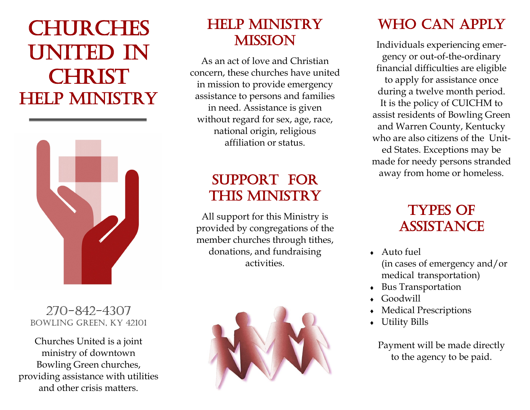# **CHURCHES** UNITED IN **CHRIST** HELP MINISTRY



#### 270-842-4307 Bowling Green, KY 42101

Churches United is a joint ministry of downtown Bowling Green churches, providing assistance with utilities and other crisis matters.

### HELP MINISTRY **MISSION**

As an act of love and Christian concern, these churches have united in mission to provide emergency assistance to persons and families in need. Assistance is given without regard for sex, age, race, national origin, religious affiliation or status.

## SUPPORT FOR THIS MINISTRY

All support for this Ministry is provided by congregations of the member churches through tithes, donations, and fundraising activities.



# WHO CAN APPLY

Individuals experiencing emergency or out-of-the-ordinary financial difficulties are eligible to apply for assistance once during a twelve month period. It is the policy of CUICHM to assist residents of Bowling Green and Warren County, Kentucky who are also citizens of the United States. Exceptions may be made for needy persons stranded away from home or homeless.

### Types of **ASSISTANCE**

- Auto fuel (in cases of emergency and/or medical transportation)
- Bus Transportation
- Goodwill
- Medical Prescriptions
- Utility Bills

Payment will be made directly to the agency to be paid.